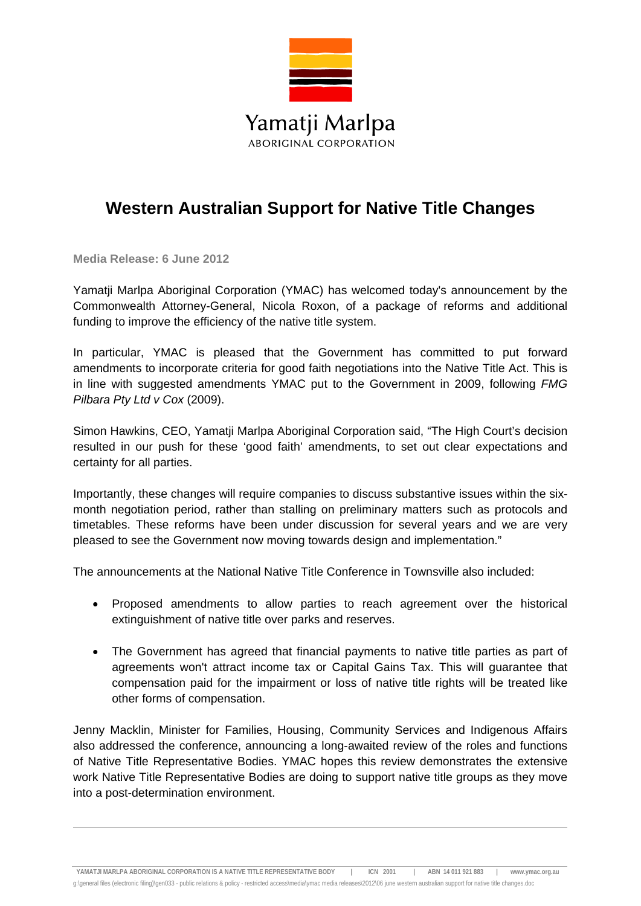

## **Western Australian Support for Native Title Changes**

**Media Release: 6 June 2012**

Yamatji Marlpa Aboriginal Corporation (YMAC) has welcomed today's announcement by the Commonwealth Attorney-General, Nicola Roxon, of a package of reforms and additional funding to improve the efficiency of the native title system.

In particular, YMAC is pleased that the Government has committed to put forward amendments to incorporate criteria for good faith negotiations into the Native Title Act. This is in line with suggested amendments YMAC put to the Government in 2009, following *FMG Pilbara Pty Ltd v Cox* (2009).

Simon Hawkins, CEO, Yamatji Marlpa Aboriginal Corporation said, "The High Court's decision resulted in our push for these 'good faith' amendments, to set out clear expectations and certainty for all parties.

Importantly, these changes will require companies to discuss substantive issues within the sixmonth negotiation period, rather than stalling on preliminary matters such as protocols and timetables. These reforms have been under discussion for several years and we are very pleased to see the Government now moving towards design and implementation."

The announcements at the National Native Title Conference in Townsville also included:

- Proposed amendments to allow parties to reach agreement over the historical extinguishment of native title over parks and reserves.
- The Government has agreed that financial payments to native title parties as part of agreements won't attract income tax or Capital Gains Tax. This will guarantee that compensation paid for the impairment or loss of native title rights will be treated like other forms of compensation.

Jenny Macklin, Minister for Families, Housing, Community Services and Indigenous Affairs also addressed the conference, announcing a long-awaited review of the roles and functions of Native Title Representative Bodies. YMAC hopes this review demonstrates the extensive work Native Title Representative Bodies are doing to support native title groups as they move into a post-determination environment.